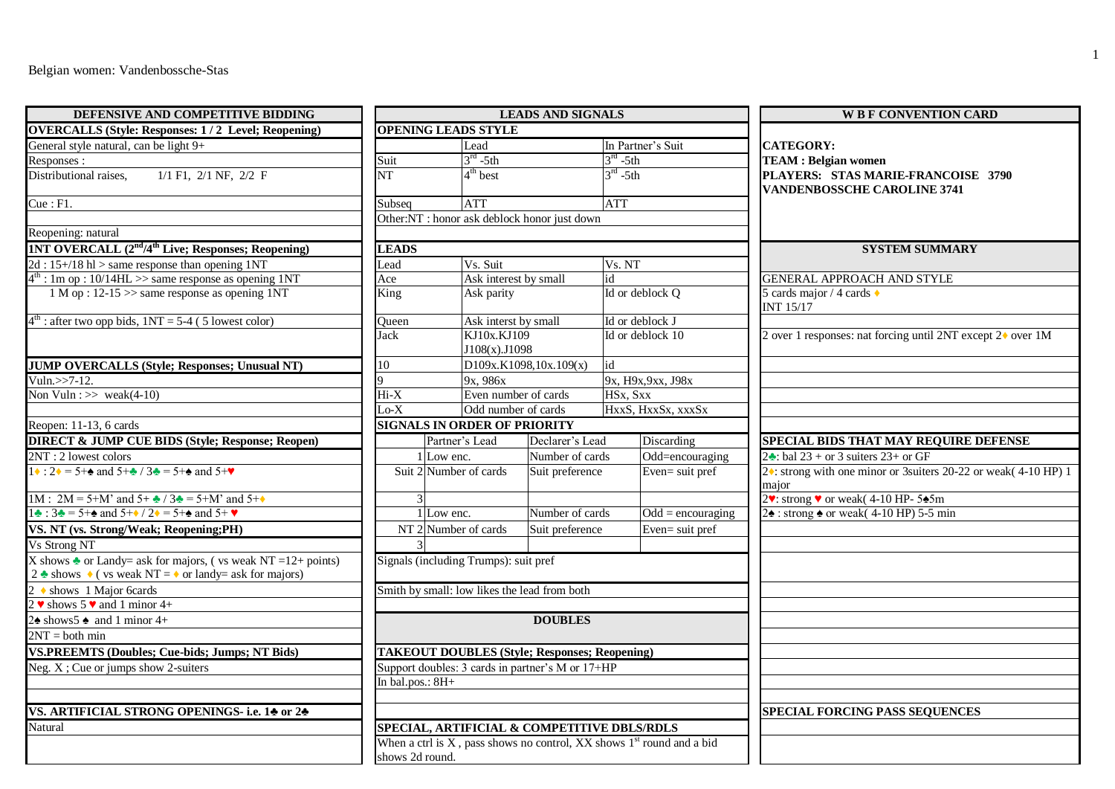| DEFENSIVE AND COMPETITIVE BIDDING                                                                                                                                                                                                                                                                                                                                                          | <b>LEADS AND SIGNALS</b>                         |                                                      |                        |                                                                              | <b>WE F CONVENTION CARD</b>                                              |  |
|--------------------------------------------------------------------------------------------------------------------------------------------------------------------------------------------------------------------------------------------------------------------------------------------------------------------------------------------------------------------------------------------|--------------------------------------------------|------------------------------------------------------|------------------------|------------------------------------------------------------------------------|--------------------------------------------------------------------------|--|
| <b>OVERCALLS (Style: Responses: 1/2 Level; Reopening)</b>                                                                                                                                                                                                                                                                                                                                  |                                                  | <b>OPENING LEADS STYLE</b>                           |                        |                                                                              |                                                                          |  |
| General style natural, can be light 9+                                                                                                                                                                                                                                                                                                                                                     |                                                  | Lead                                                 |                        | In Partner's Suit                                                            | <b>CATEGORY:</b>                                                         |  |
| Responses:                                                                                                                                                                                                                                                                                                                                                                                 | Suit                                             | $3rd - 5th$                                          |                        | $3rd - 5th$                                                                  | <b>TEAM</b> : Belgian women                                              |  |
| Distributional raises,<br>$1/1$ F1, $2/1$ NF, $2/2$ F                                                                                                                                                                                                                                                                                                                                      | NT                                               | $4th$ best                                           |                        | $3^{rd}$ -5th                                                                | PLAYERS: STAS MARIE-FRANCOISE 3790<br><b>VANDENBOSSCHE CAROLINE 3741</b> |  |
| $\overline{\text{C}}$ ue : F1.                                                                                                                                                                                                                                                                                                                                                             | Subseq                                           | <b>ATT</b>                                           |                        | <b>ATT</b>                                                                   |                                                                          |  |
|                                                                                                                                                                                                                                                                                                                                                                                            |                                                  | Other:NT : honor ask deblock honor just down         |                        |                                                                              |                                                                          |  |
| Reopening: natural                                                                                                                                                                                                                                                                                                                                                                         |                                                  |                                                      |                        |                                                                              |                                                                          |  |
| 1NT OVERCALL (2 <sup>nd</sup> /4 <sup>th</sup> Live; Responses; Reopening)                                                                                                                                                                                                                                                                                                                 | <b>LEADS</b>                                     |                                                      |                        |                                                                              | <b>SYSTEM SUMMARY</b>                                                    |  |
| $2d : 15 + / 18$ hl > same response than opening 1NT                                                                                                                                                                                                                                                                                                                                       | Lead                                             | Vs. Suit                                             |                        | Vs. NT                                                                       |                                                                          |  |
| $4th$ : 1m op : 10/14HL >> same response as opening 1NT                                                                                                                                                                                                                                                                                                                                    | Ace                                              | Ask interest by small                                |                        | id                                                                           | <b>GENERAL APPROACH AND STYLE</b>                                        |  |
| $1 M$ op : 12-15 >> same response as opening 1NT                                                                                                                                                                                                                                                                                                                                           | King                                             | Ask parity                                           |                        | Id or deblock Q                                                              | 5 cards major / 4 cards $\triangle$<br>INT 15/17                         |  |
| $4th$ : after two opp bids, $1NT = 5-4$ (5 lowest color)                                                                                                                                                                                                                                                                                                                                   | Queen                                            | Ask interst by small                                 |                        | Id or deblock J                                                              |                                                                          |  |
|                                                                                                                                                                                                                                                                                                                                                                                            | Jack                                             | KJ10x.KJ109<br>J108(x).J1098                         |                        | Id or deblock 10                                                             | 2 over 1 responses: nat forcing until 2NT except 2♦ over 1M              |  |
| <b>JUMP OVERCALLS (Style; Responses; Unusual NT)</b>                                                                                                                                                                                                                                                                                                                                       | 10                                               |                                                      | D109x.K1098,10x.109(x) | id                                                                           |                                                                          |  |
| Vuln.>>7-12.                                                                                                                                                                                                                                                                                                                                                                               |                                                  | 9x, 986x                                             |                        | 9x, H9x, 9xx, J98x                                                           |                                                                          |  |
| Non Vuln: $\gg$ weak(4-10)                                                                                                                                                                                                                                                                                                                                                                 | Hi-X                                             | Even number of cards                                 |                        | HSx, Sxx                                                                     |                                                                          |  |
|                                                                                                                                                                                                                                                                                                                                                                                            | $Lo-X$                                           | Odd number of cards                                  |                        | HxxS, HxxSx, xxxSx                                                           |                                                                          |  |
| Reopen: 11-13, 6 cards                                                                                                                                                                                                                                                                                                                                                                     |                                                  | <b>SIGNALS IN ORDER OF PRIORITY</b>                  |                        |                                                                              |                                                                          |  |
| <b>DIRECT &amp; JUMP CUE BIDS (Style; Response; Reopen)</b>                                                                                                                                                                                                                                                                                                                                |                                                  | Partner's Lead                                       | Declarer's Lead        | Discarding                                                                   | SPECIAL BIDS THAT MAY REQUIRE DEFENSE                                    |  |
| 2NT: 2 lowest colors                                                                                                                                                                                                                                                                                                                                                                       |                                                  | 1 Low enc.                                           | Number of cards        | Odd=encouraging                                                              | 2. bal 23 + or 3 suiters 23+ or GF                                       |  |
| $1 \cdot 2 \cdot 5 + \cdot 2 = 5 + \cdot 2$ and $5 + \cdot 2 \cdot 5 = 5 + \cdot 2$ and $5 + \cdot 2 \cdot 5 = 5 + \cdot 2$                                                                                                                                                                                                                                                                |                                                  | Suit 2 Number of cards                               | Suit preference        | Even= suit pref                                                              | 2♦: strong with one minor or 3suiters 20-22 or weak(4-10 HP) 1<br>maior  |  |
| 1M : 2M = 5+M' and 5+ $\triangle$ / 3 $\triangle$ = 5+M' and 5+ $\triangle$                                                                                                                                                                                                                                                                                                                |                                                  |                                                      |                        |                                                                              | 2. strong v or weak (4-10 HP-545m                                        |  |
| $1\cdot 3\cdot 5 = 5 + \cdot 2\cdot 7 = 5 + \cdot 2\cdot 7 = 5 + \cdot 2\cdot 8 = 5 + \cdot 2\cdot 9 = 5 + \cdot 2\cdot 12 = 5 + \cdot 2\cdot 12 = 5 + \cdot 2\cdot 12 = 5 + \cdot 2\cdot 12 = 5 + \cdot 2\cdot 12 = 5 + \cdot 2\cdot 12 = 5 + \cdot 2\cdot 12 = 5 + \cdot 2\cdot 12 = 5 + \cdot 2\cdot 12 = 5 + \cdot 2\cdot 12 = 5 + \cdot 2\cdot 12 = 5 + \cdot 2\cdot 12 = 5 + \cdot $ |                                                  | $1$ Low enc.                                         | Number of cards        | $Odd = \text{encouraging}$                                                   | $2\cdot$ : strong $\cdot$ or weak(4-10 HP) 5-5 min                       |  |
| VS. NT (vs. Strong/Weak; Reopening;PH)                                                                                                                                                                                                                                                                                                                                                     |                                                  | NT 2 Number of cards                                 | Suit preference        | Even= suit pref                                                              |                                                                          |  |
| Vs Strong NT                                                                                                                                                                                                                                                                                                                                                                               |                                                  |                                                      |                        |                                                                              |                                                                          |  |
| X shows $\triangle$ or Landy= ask for majors, (vs weak NT = 12+ points)<br>2 $\triangle$ shows $\triangle$ ( vs weak NT = $\triangle$ or landy= ask for majors)                                                                                                                                                                                                                            |                                                  | Signals (including Trumps): suit pref                |                        |                                                                              |                                                                          |  |
| $\frac{2 \div \text{shows}}{2 \times \text{shows}}$ 5 \times and 1 minor 4+                                                                                                                                                                                                                                                                                                                |                                                  | Smith by small: low likes the lead from both         |                        |                                                                              |                                                                          |  |
|                                                                                                                                                                                                                                                                                                                                                                                            |                                                  |                                                      |                        |                                                                              |                                                                          |  |
| $2\spadesuit$ shows 5 $\spadesuit$ and 1 minor 4+                                                                                                                                                                                                                                                                                                                                          |                                                  |                                                      | <b>DOUBLES</b>         |                                                                              |                                                                          |  |
| $2NT = both min$                                                                                                                                                                                                                                                                                                                                                                           |                                                  |                                                      |                        |                                                                              |                                                                          |  |
| <b>VS.PREEMTS (Doubles; Cue-bids; Jumps; NT Bids)</b>                                                                                                                                                                                                                                                                                                                                      |                                                  | <b>TAKEOUT DOUBLES (Style; Responses; Reopening)</b> |                        |                                                                              |                                                                          |  |
| Neg. $X$ ; Cue or jumps show 2-suiters                                                                                                                                                                                                                                                                                                                                                     | Support doubles: 3 cards in partner's M or 17+HP |                                                      |                        |                                                                              |                                                                          |  |
|                                                                                                                                                                                                                                                                                                                                                                                            | In bal.pos.: 8H+                                 |                                                      |                        |                                                                              |                                                                          |  |
|                                                                                                                                                                                                                                                                                                                                                                                            |                                                  |                                                      |                        |                                                                              |                                                                          |  |
| VS. ARTIFICIAL STRONG OPENINGS- i.e. 14 or 24                                                                                                                                                                                                                                                                                                                                              |                                                  |                                                      |                        |                                                                              | <b>SPECIAL FORCING PASS SEQUENCES</b>                                    |  |
| Natural                                                                                                                                                                                                                                                                                                                                                                                    | SPECIAL, ARTIFICIAL & COMPETITIVE DBLS/RDLS      |                                                      |                        |                                                                              |                                                                          |  |
|                                                                                                                                                                                                                                                                                                                                                                                            | shows 2d round.                                  |                                                      |                        | When a ctrl is $X$ , pass shows no control, $XX$ shows $1st$ round and a bid |                                                                          |  |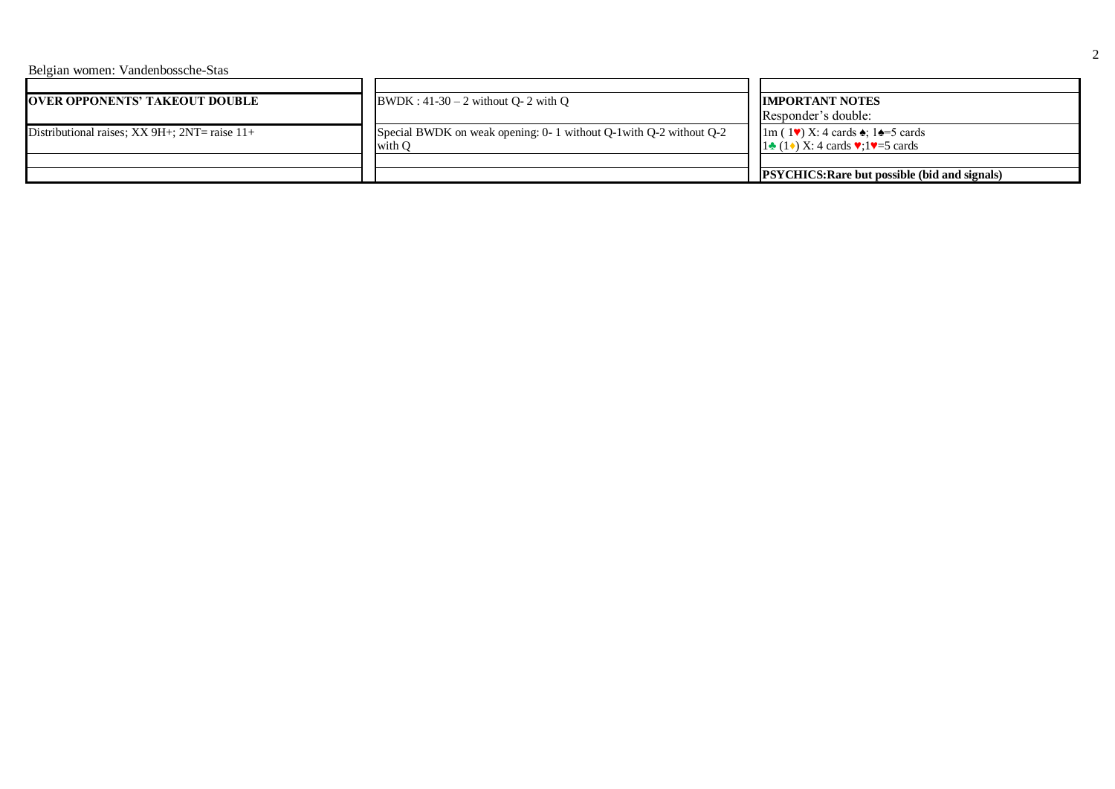Belgian women: Vandenbossche-Stas

| <b>OVER OPPONENTS' TAKEOUT DOUBLE</b>                | $BWDK: 41-30-2$ without Q- 2 with Q                                           | <b>IMPORTANT NOTES</b><br>Responder's double:                                                                              |  |
|------------------------------------------------------|-------------------------------------------------------------------------------|----------------------------------------------------------------------------------------------------------------------------|--|
| Distributional raises; $XX$ 9H+; $2NT =$ raise $11+$ | Special BWDK on weak opening: 0- 1 without Q-1 with Q-2 without Q-2<br>with O | $1m(1\vee) X: 4$ cards $\triangle$ ; $1\triangleq 5$ cards<br>$1\bullet(1\bullet)$ X: 4 cards $\vee$ : $1\bullet$ =5 cards |  |
|                                                      |                                                                               | <b>PSYCHICS: Rare but possible (bid and signals)</b>                                                                       |  |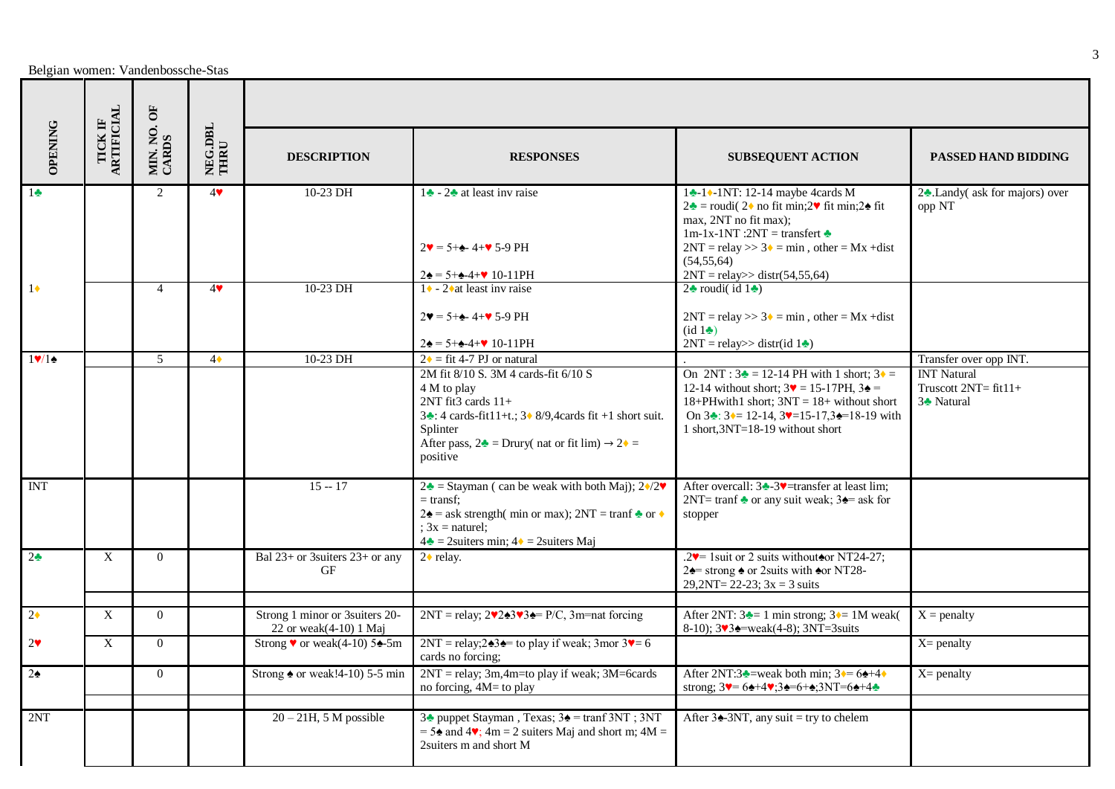|                                                                                                     | $\mathbf{B}$ |                   |                 |                                                              |                                                                                                                                                                                                                                                                 |                                                                                                                                                                                                                                                                                            |                                                                         |
|-----------------------------------------------------------------------------------------------------|--------------|-------------------|-----------------|--------------------------------------------------------------|-----------------------------------------------------------------------------------------------------------------------------------------------------------------------------------------------------------------------------------------------------------------|--------------------------------------------------------------------------------------------------------------------------------------------------------------------------------------------------------------------------------------------------------------------------------------------|-------------------------------------------------------------------------|
| $\begin{array}{ll} \mathrm{TCK} \; \mathrm{IF} \\ \mathrm{AKITICIAL} \end{array}$<br><b>OPENING</b> |              | MIN. NO.<br>CARDS | NEG.DBL<br>THRU | <b>DESCRIPTION</b>                                           | <b>RESPONSES</b>                                                                                                                                                                                                                                                | <b>SUBSEQUENT ACTION</b>                                                                                                                                                                                                                                                                   | <b>PASSED HAND BIDDING</b>                                              |
| $1\bullet$                                                                                          |              | $\mathcal{L}$     | 4               | 10-23 DH                                                     | 1 $\triangle$ - 2 $\triangle$ at least inv raise<br>$2\blacktriangledown = 5 + 4 - 4 + \blacktriangledown 5 - 9$ PH                                                                                                                                             | 14-10-1NT: 12-14 maybe 4cards M<br>$2\cdot \bullet$ = roudi( 2♦ no fit min;2♥ fit min;2♠ fit<br>max, 2NT no fit max);<br>1m-1x-1NT :2NT = transfert $\triangle$<br>$2NT = relay \gg 3$ = min, other = Mx + dist<br>(54.55.64)<br>$2NT = relay \ge dist(54, 55, 64)$                        | 2. Landy (ask for majors) over<br>opp NT                                |
| $1\bullet$                                                                                          |              | $\overline{4}$    | 4               | 10-23 DH                                                     | $2\spadesuit = 5 + \spadesuit - 4 + \spadesuit 10 - 11$ PH<br>$1 \cdot -2 \cdot$ at least inv raise                                                                                                                                                             | $2\cdot$ roudi(id $1\cdot$ )                                                                                                                                                                                                                                                               |                                                                         |
|                                                                                                     |              |                   |                 |                                                              | $2\Psi = 5 + \triangle 4 + \Psi 5 - 9$ PH<br>$2\spadesuit = 5 + \spadesuit - 4 + \spadesuit 10 - 11$ PH                                                                                                                                                         | $2NT = relay \gg 3$ = min, other = Mx + dist<br>(id 1<br>$2NT = relay \gg distr(id 1$                                                                                                                                                                                                      |                                                                         |
| $1$ V/1 $\bullet$                                                                                   |              | 5                 | $4\bullet$      | 10-23 DH                                                     | $2 \cdot =$ fit 4-7 PJ or natural                                                                                                                                                                                                                               |                                                                                                                                                                                                                                                                                            | Transfer over opp INT.                                                  |
|                                                                                                     |              |                   |                 |                                                              | 2M fit 8/10 S. 3M 4 cards-fit 6/10 S<br>4 M to play<br>$2NT$ fit3 cards $11+$<br>$3\cdot 4$ cards-fit11+t.; $3\cdot 8/9$ , 4cards fit +1 short suit.<br>Splinter<br>After pass, $2\triangle$ = Drury( nat or fit lim) $\rightarrow$ 2 $\triangle$ =<br>positive | On $2NT : 3 = 12-14 PH$ with 1 short; $3 \cdot =$<br>12-14 without short; $3\blacktriangledown = 15-17PH$ , $3\blacktriangle =$<br>18+PHwith1 short; $3NT = 18+$ without short<br>On $3 \div 3 = 12 - 14$ , $3 \div 15 - 17$ , $3 \div 18 - 19$ with<br>1 short, $3NT=18-19$ without short | <b>INT Natural</b><br>Truscott $2NT = fit11+$<br>3 <sup>*</sup> Natural |
| $\overline{\text{INT}}$                                                                             |              |                   |                 | $15 - 17$                                                    | $2\bullet$ = Stayman (can be weak with both Maj); $2\bullet/2\bullet$<br>$=$ transf:<br>$2\triangle$ = ask strength( min or max); 2NT = tranf $\triangle$ or $\triangle$<br>: $3x$ = naturel:<br>$4\bullet$ = 2suiters min; $4\bullet$ = 2suiters Maj           | After overcall: $3 \div 3 \sqrt{\frac{3}{2}}$ =transfer at least lim;<br>2NT= tranf $\triangle$ or any suit weak; 3 $\triangle$ ask for<br>stopper                                                                                                                                         |                                                                         |
| 2 <sub>2</sub>                                                                                      | X            | $\Omega$          |                 | Bal $23+$ or 3suiters $23+$ or any<br>GF                     | $2 \cdot$ relay.                                                                                                                                                                                                                                                | .2 $\blacktriangleright$ 1 suit or 2 suits without $\blacktriangleright$ NT24-27;<br>$2\spadesuit$ strong $\spadesuit$ or 2 suits with $\spadesuit$ or NT28-<br>$29,2NT = 22-23$ ; $3x = 3$ suits                                                                                          |                                                                         |
| $2^{\bullet}$                                                                                       | X            | $\Omega$          |                 | Strong 1 minor or 3 suiters 20-<br>22 or weak $(4-10)$ 1 Maj | $2NT = relay$ ; $2\sqrt{243}\sqrt{34} = P/C$ , $3m = nat$ forcing                                                                                                                                                                                               | After 2NT: $3\rightarrow 1$ min strong; $3\rightarrow 1$ M weak(<br>8-10); $3\sqrt{3}$ = weak(4-8); $3NT = 3suits$                                                                                                                                                                         | $X =$ penalty                                                           |
| $2^{\vee}$                                                                                          | X            | $\Omega$          |                 | Strong $\bullet$ or weak(4-10) 5 $\bullet$ -5m               | $2NT = relay; 2 \triangle 3 = to play if weak; 3mor 3 = 6$<br>cards no forcing;                                                                                                                                                                                 |                                                                                                                                                                                                                                                                                            | $X =$ penalty                                                           |
| $2\bullet$                                                                                          |              | $\Omega$          |                 | Strong $\triangle$ or weak!4-10) 5-5 min                     | $2NT =$ relay; 3m, 4m=to play if weak; 3M=6cards<br>no forcing, 4M= to play                                                                                                                                                                                     | After 2NT:3 <sup><math>\bullet</math></sup> =weak both min; 3 $\bullet$ = 6 $\bullet$ +4 $\bullet$<br>strong; $3 = 6 + 4 = 3 + 5 + 5$                                                                                                                                                      | $X =$ penalty                                                           |
| 2NT                                                                                                 |              |                   |                 | $20 - 21H$ , 5 M possible                                    | 3 <sup>1</sup> puppet Stayman, Texas; 3 <sup>2</sup> = tranf 3NT; 3NT<br>$= 5\cdot \text{ and } 4\cdot \text{, } 4m = 2$ suiters Maj and short m; $4M =$<br>2suiters m and short M                                                                              | After $3\triangle 3NT$ , any suit = try to chelem                                                                                                                                                                                                                                          |                                                                         |